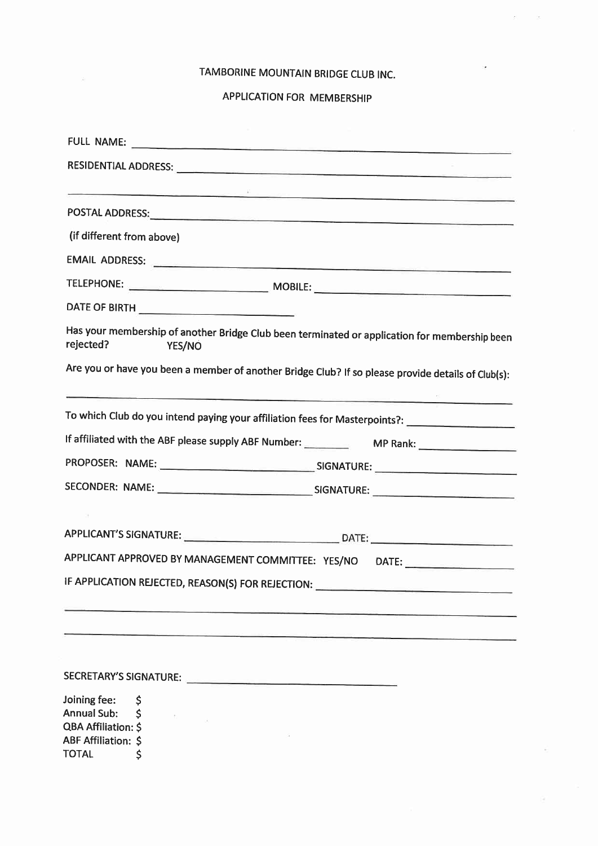## TAMBORINE MOUNTAIN BRIDGE CLUB INC.

 $\left\langle \xi \right\rangle$ 

 $\mathcal{B} = \mathcal{A}$ 

g.

## APPLICATION FOR MEMBERSHIP

|                                                                                                                | e de la proposició de la construction de la construction de la construction de la construction de la construct                                                                                                                 |  |
|----------------------------------------------------------------------------------------------------------------|--------------------------------------------------------------------------------------------------------------------------------------------------------------------------------------------------------------------------------|--|
|                                                                                                                | POSTAL ADDRESS: North Alberta Contract Contract Contract Contract Contract Contract Contract Contract Contract Contract Contract Contract Contract Contract Contract Contract Contract Contract Contract Contract Contract Con |  |
| (if different from above)                                                                                      |                                                                                                                                                                                                                                |  |
|                                                                                                                | EMAIL ADDRESS:                                                                                                                                                                                                                 |  |
|                                                                                                                |                                                                                                                                                                                                                                |  |
|                                                                                                                |                                                                                                                                                                                                                                |  |
| rejected?                                                                                                      | Has your membership of another Bridge Club been terminated or application for membership been<br>YES/NO                                                                                                                        |  |
|                                                                                                                | Are you or have you been a member of another Bridge Club? If so please provide details of Club(s):                                                                                                                             |  |
|                                                                                                                | To which Club do you intend paying your affiliation fees for Masterpoints?: _______________________                                                                                                                            |  |
|                                                                                                                | If affiliated with the ABF please supply ABF Number: MP Rank:                                                                                                                                                                  |  |
|                                                                                                                |                                                                                                                                                                                                                                |  |
|                                                                                                                |                                                                                                                                                                                                                                |  |
|                                                                                                                |                                                                                                                                                                                                                                |  |
|                                                                                                                | APPLICANT'S SIGNATURE: DATE: DATE:                                                                                                                                                                                             |  |
|                                                                                                                | APPLICANT APPROVED BY MANAGEMENT COMMITTEE: YES/NO DATE:                                                                                                                                                                       |  |
|                                                                                                                | IF APPLICATION REJECTED, REASON(S) FOR REJECTION: ______________________________                                                                                                                                               |  |
|                                                                                                                |                                                                                                                                                                                                                                |  |
|                                                                                                                |                                                                                                                                                                                                                                |  |
| Joining fee:<br><b>Annual Sub:</b><br><b>QBA Affiliation: \$</b><br><b>ABF Affiliation: \$</b><br><b>TOTAL</b> | Ş<br>Ŝ.                                                                                                                                                                                                                        |  |